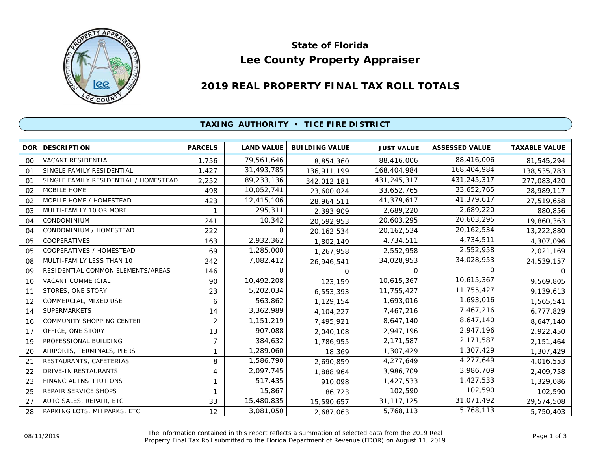

# **Lee County Property Appraiser State of Florida**

# **2019 REAL PROPERTY FINAL TAX ROLL TOTALS**

## **TAXING AUTHORITY • TICE FIRE DISTRICT**

| DOR <sup>1</sup> | <b>DESCRIPTION</b>                    | <b>PARCELS</b> | <b>LAND VALUE</b> | <b>BUILDING VALUE</b> | <b>JUST VALUE</b> | <b>ASSESSED VALUE</b> | <b>TAXABLE VALUE</b> |
|------------------|---------------------------------------|----------------|-------------------|-----------------------|-------------------|-----------------------|----------------------|
| 00               | VACANT RESIDENTIAL                    | 1,756          | 79,561,646        | 8,854,360             | 88,416,006        | 88,416,006            | 81,545,294           |
| 01               | SINGLE FAMILY RESIDENTIAL             | 1,427          | 31,493,785        | 136,911,199           | 168,404,984       | 168,404,984           | 138,535,783          |
| O <sub>1</sub>   | SINGLE FAMILY RESIDENTIAL / HOMESTEAD | 2,252          | 89,233,136        | 342,012,181           | 431,245,317       | 431,245,317           | 277,083,420          |
| 02               | <b>MOBILE HOME</b>                    | 498            | 10,052,741        | 23,600,024            | 33,652,765        | 33,652,765            | 28,989,117           |
| 02               | MOBILE HOME / HOMESTEAD               | 423            | 12,415,106        | 28,964,511            | 41,379,617        | 41,379,617            | 27,519,658           |
| 03               | MULTI-FAMILY 10 OR MORE               | 1              | 295,311           | 2,393,909             | 2,689,220         | 2,689,220             | 880,856              |
| 04               | <b>CONDOMINIUM</b>                    | 241            | 10,342            | 20,592,953            | 20,603,295        | 20,603,295            | 19,860,363           |
| 04               | CONDOMINIUM / HOMESTEAD               | 222            | 0                 | 20, 162, 534          | 20, 162, 534      | 20, 162, 534          | 13,222,880           |
| 05               | COOPERATIVES                          | 163            | 2,932,362         | 1,802,149             | 4,734,511         | 4,734,511             | 4,307,096            |
| 05               | COOPERATIVES / HOMESTEAD              | 69             | 1,285,000         | 1,267,958             | 2,552,958         | 2,552,958             | 2,021,169            |
| 08               | MULTI-FAMILY LESS THAN 10             | 242            | 7,082,412         | 26,946,541            | 34,028,953        | 34,028,953            | 24,539,157           |
| 09               | RESIDENTIAL COMMON ELEMENTS/AREAS     | 146            | 0                 | 0                     | 0                 | 0                     | 0                    |
| 10               | <b>VACANT COMMERCIAL</b>              | 90             | 10,492,208        | 123,159               | 10,615,367        | 10,615,367            | 9,569,805            |
| 11               | STORES, ONE STORY                     | 23             | 5,202,034         | 6,553,393             | 11,755,427        | 11,755,427            | 9,139,613            |
| 12               | COMMERCIAL, MIXED USE                 | 6              | 563,862           | 1,129,154             | 1,693,016         | 1,693,016             | 1,565,541            |
| 14               | <b>SUPERMARKETS</b>                   | 14             | 3,362,989         | 4,104,227             | 7,467,216         | 7,467,216             | 6,777,829            |
| 16               | COMMUNITY SHOPPING CENTER             | $\overline{2}$ | 1,151,219         | 7,495,921             | 8,647,140         | 8,647,140             | 8,647,140            |
| 17               | OFFICE, ONE STORY                     | 13             | 907,088           | 2,040,108             | 2,947,196         | 2,947,196             | 2,922,450            |
| 19               | PROFESSIONAL BUILDING                 | $\overline{7}$ | 384,632           | 1,786,955             | 2,171,587         | 2,171,587             | 2,151,464            |
| 20               | AIRPORTS, TERMINALS, PIERS            | 1              | 1,289,060         | 18,369                | 1,307,429         | 1,307,429             | 1,307,429            |
| 21               | RESTAURANTS, CAFETERIAS               | 8              | 1,586,790         | 2,690,859             | 4,277,649         | 4,277,649             | 4,016,553            |
| 22               | <b>DRIVE-IN RESTAURANTS</b>           | 4              | 2,097,745         | 1,888,964             | 3,986,709         | 3,986,709             | 2,409,758            |
| 23               | <b>FINANCIAL INSTITUTIONS</b>         | 1              | 517,435           | 910,098               | 1,427,533         | 1,427,533             | 1,329,086            |
| 25               | REPAIR SERVICE SHOPS                  | 1              | 15,867            | 86,723                | 102,590           | 102,590               | 102,590              |
| 27               | AUTO SALES, REPAIR, ETC               | 33             | 15,480,835        | 15,590,657            | 31, 117, 125      | 31,071,492            | 29,574,508           |
| 28               | PARKING LOTS, MH PARKS, ETC           | 12             | 3,081,050         | 2,687,063             | 5,768,113         | 5,768,113             | 5,750,403            |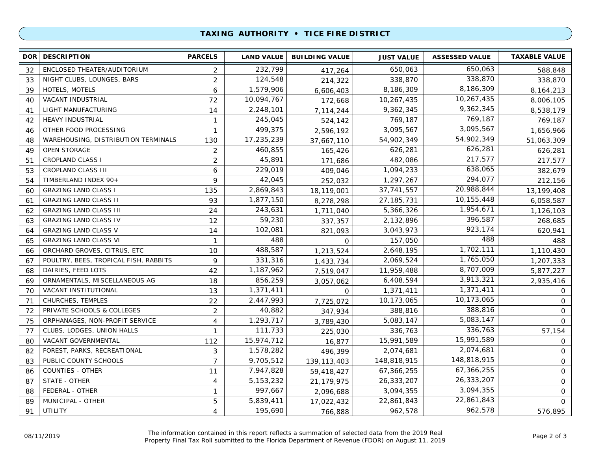### **TAXING AUTHORITY • TICE FIRE DISTRICT**

| DOR <b>I</b> | <b>DESCRIPTION</b>                    | <b>PARCELS</b>          | <b>LAND VALUE</b> | <b>BUILDING VALUE</b> | <b>JUST VALUE</b> | <b>ASSESSED VALUE</b> | <b>TAXABLE VALUE</b> |
|--------------|---------------------------------------|-------------------------|-------------------|-----------------------|-------------------|-----------------------|----------------------|
| 32           | ENCLOSED THEATER/AUDITORIUM           | 2                       | 232,799           | 417,264               | 650,063           | 650,063               | 588,848              |
| 33           | NIGHT CLUBS, LOUNGES, BARS            | $\overline{2}$          | 124,548           | 214,322               | 338,870           | 338,870               | 338,870              |
| 39           | HOTELS, MOTELS                        | 6                       | 1,579,906         | 6,606,403             | 8,186,309         | 8,186,309             | 8, 164, 213          |
| 40           | <b>VACANT INDUSTRIAL</b>              | 72                      | 10,094,767        | 172,668               | 10,267,435        | 10,267,435            | 8,006,105            |
| 41           | LIGHT MANUFACTURING                   | 14                      | 2,248,101         | 7,114,244             | 9,362,345         | 9,362,345             | 8,538,179            |
| 42           | <b>HEAVY INDUSTRIAL</b>               | $\mathbf{1}$            | 245,045           | 524,142               | 769,187           | 769,187               | 769,187              |
| 46           | OTHER FOOD PROCESSING                 | 1                       | 499,375           | 2,596,192             | 3,095,567         | 3,095,567             | 1,656,966            |
| 48           | WAREHOUSING, DISTRIBUTION TERMINALS   | 130                     | 17,235,239        | 37,667,110            | 54,902,349        | 54,902,349            | 51,063,309           |
| 49           | <b>OPEN STORAGE</b>                   | $\overline{2}$          | 460,855           | 165,426               | 626,281           | 626,281               | 626,281              |
| 51           | <b>CROPLAND CLASS I</b>               | $\overline{2}$          | 45,891            | 171,686               | 482,086           | 217,577               | 217,577              |
| 53           | <b>CROPLAND CLASS III</b>             | 6                       | 229,019           | 409,046               | 1,094,233         | 638,065               | 382,679              |
| 54           | TIMBERLAND INDEX 90+                  | 9                       | 42,045            | 252,032               | 1,297,267         | 294,077               | 212,156              |
| 60           | <b>GRAZING LAND CLASS I</b>           | 135                     | 2,869,843         | 18,119,001            | 37,741,557        | 20,988,844            | 13,199,408           |
| 61           | <b>GRAZING LAND CLASS II</b>          | 93                      | 1,877,150         | 8,278,298             | 27, 185, 731      | 10,155,448            | 6,058,587            |
| 62           | <b>GRAZING LAND CLASS III</b>         | 24                      | 243,631           | 1,711,040             | 5,366,326         | 1,954,671             | 1,126,103            |
| 63           | <b>GRAZING LAND CLASS IV</b>          | 12                      | 59,230            | 337,357               | 2,132,896         | 396,587               | 268,685              |
| 64           | <b>GRAZING LAND CLASS V</b>           | 14                      | 102,081           | 821,093               | 3,043,973         | 923,174               | 620,941              |
| 65           | <b>GRAZING LAND CLASS VI</b>          | $\mathbf{1}$            | 488               | $\mathbf 0$           | 157,050           | 488                   | 488                  |
| 66           | ORCHARD GROVES, CITRUS, ETC           | 10                      | 488,587           | 1,213,524             | 2,648,195         | 1,702,111             | 1,110,430            |
| 67           | POULTRY, BEES, TROPICAL FISH, RABBITS | 9                       | 331,316           | 1,433,734             | 2,069,524         | 1,765,050             | 1,207,333            |
| 68           | DAIRIES, FEED LOTS                    | 42                      | 1,187,962         | 7,519,047             | 11,959,488        | 8,707,009             | 5,877,227            |
| 69           | ORNAMENTALS, MISCELLANEOUS AG         | 18                      | 856,259           | 3,057,062             | 6,408,594         | 3,913,321             | 2,935,416            |
| 70           | VACANT INSTITUTIONAL                  | 13                      | 1,371,411         | $\Omega$              | 1,371,411         | 1,371,411             | 0                    |
| 71           | CHURCHES, TEMPLES                     | 22                      | 2,447,993         | 7,725,072             | 10,173,065        | 10,173,065            | 0                    |
| 72           | PRIVATE SCHOOLS & COLLEGES            | 2                       | 40,882            | 347,934               | 388,816           | 388,816               | $\mathsf{O}$         |
| 75           | ORPHANAGES, NON-PROFIT SERVICE        | 4                       | 1,293,717         | 3,789,430             | 5,083,147         | 5,083,147             | $\Omega$             |
| 77           | CLUBS, LODGES, UNION HALLS            | $\mathbf{1}$            | 111,733           | 225,030               | 336,763           | 336,763               | 57,154               |
| 80           | VACANT GOVERNMENTAL                   | 112                     | 15,974,712        | 16,877                | 15,991,589        | 15,991,589            | 0                    |
| 82           | FOREST, PARKS, RECREATIONAL           | 3                       | 1,578,282         | 496,399               | 2,074,681         | 2,074,681             | $\mathbf 0$          |
| 83           | PUBLIC COUNTY SCHOOLS                 | $\overline{7}$          | 9,705,512         | 139, 113, 403         | 148,818,915       | 148,818,915           | $\mathbf 0$          |
| 86           | <b>COUNTIES - OTHER</b>               | 11                      | 7,947,828         | 59,418,427            | 67,366,255        | 67,366,255            | $\mathsf{O}$         |
| 87           | STATE - OTHER                         | 4                       | 5, 153, 232       | 21,179,975            | 26,333,207        | 26,333,207            | $\mathsf{O}$         |
| 88           | FEDERAL - OTHER                       | $\mathbf{1}$            | 997,667           | 2,096,688             | 3,094,355         | 3,094,355             | 0                    |
| 89           | MUNICIPAL - OTHER                     | 5                       | 5,839,411         | 17,022,432            | 22,861,843        | 22,861,843            | $\mathbf 0$          |
| 91           | <b>UTILITY</b>                        | $\overline{\mathbf{4}}$ | 195,690           | 766,888               | 962,578           | 962,578               | 576,895              |